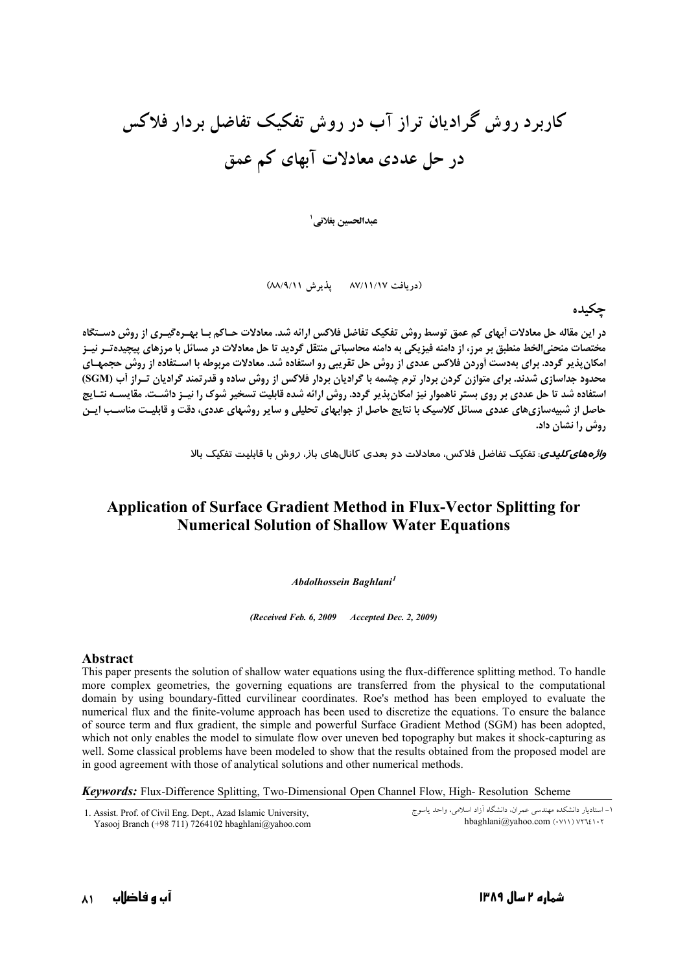## کاربرد روش گرادیان تراز آب در روش تفکیک تفاضل بردار فلاکس در حل عددی معادلات آبهای کم عمق

عبدالحسين بغلاني <sup>ا</sup>

(دریافت ۸۷/۱۱/۱۷ پذیرش ۸۸/۹/۱۱)

حكىدە

در این مقاله حل معادلات اَبهای کم عمق توسط روش تفکیک تفاضل فلاکس ارائه شد. معادلات حـاکم بـا بهـرهگیـری از روش دسـتگاه مختصات منحنی|لخط منطبق بر مرز، از دامنه فیزیکی به دامنه محاسباتی منتقل گردید تا حل معادلات در مسائل با مرزهای پیچیده تـر نیـز امکان پذیر گردد. برای بهدست آوردن فلاکس عددی از روش حل تقریبی رو استفاده شد. معادلات مربوطه با اسـتفاده از روش حجمهـای محدود جداسازی شدند. برای متوازن کردن بردار ترم چشمه با گرادیان بردار فلاکس از روش ساده و قدرتمند گرادیان تـراز آب (SGM) استفاده شد تا حل عددی بر روی بستر ناهموار نیز امکان پذیر گردد. روش ارائه شده قابلیت تسخیر شوک را نیـز داشـت. مقایســه نتـایج حاصل از شبیهسازیهای عددی مسائل کلاسیک با نتایج حاصل از جوابهای تحلیلی و سایر روشهای عددی، دقت و قابلیت مناسـب ایـن روش را نشان داد.

*واژههای کلیدی*: تفکیک تفاضل فلاکس، معادلات دو بعدی کانالهای با*ز، ر*وش با قابلیت تفکیک بالا

## **Application of Surface Gradient Method in Flux-Vector Splitting for Numerical Solution of Shallow Water Equations**

Abdolhossein Baghlani<sup>1</sup>

(Received Feb. 6, 2009 Accepted Dec. 2, 2009)

## **Abstract**

This paper presents the solution of shallow water equations using the flux-difference splitting method. To handle more complex geometries, the governing equations are transferred from the physical to the computational domain by using boundary-fitted curvilinear coordinates. Roe's method has been employed to evaluate the numerical flux and the finite-volume approach has been used to discretize the equations. To ensure the balance of source term and flux gradient, the simple and powerful Surface Gradient Method (SGM) has been adopted, which not only enables the model to simulate flow over uneven bed topography but makes it shock-capturing as well. Some classical problems have been modeled to show that the results obtained from the proposed model are in good agreement with those of analytical solutions and other numerical methods.

**Keywords:** Flux-Difference Splitting, Two-Dimensional Open Channel Flow, High-Resolution Scheme

1. Assist. Prof. of Civil Eng. Dept., Azad Islamic University, Yasooj Branch (+98 711) 7264102 hbaghlani@yahoo.com

۱– استادیار دانشکده مهندسی عمران، دانشگاه آزاد اسلامی، واحد یاسوج hbaghlani@vahoo.com (.v11) vyzi1.y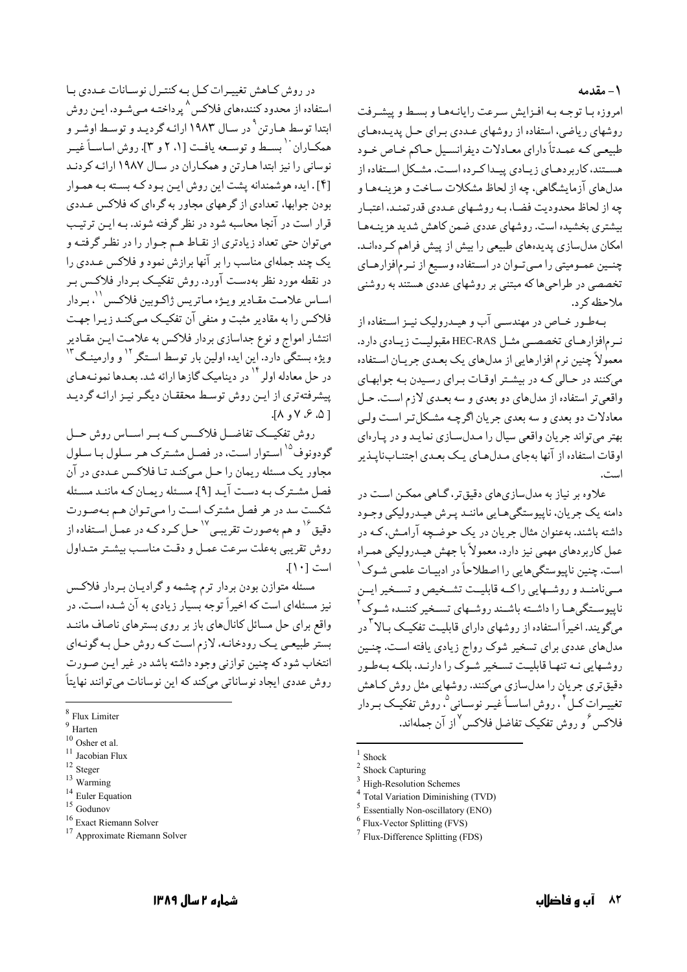۱ – مقدمه

امروزه بيا توجيه بيه افيزايش سيرعت رايانيهها ويبسط وييشيرفت روشهای ریاضی، استفاده از روشهای عـددی بـرای حـل پدیـدهعـای طبیعی کـه عمـدتاً دارای معـادلات دیفرانسـیل حـاکم خـاص خـود هسـتند، کاربردهـای زیـادی پیـداکـرده اسـت. مشـکل اسـتفاده از مدلهای آزمایشگاهی، چه از لحاظ مشکلات ساخت و هزینـههـا و چه از لحاظ محدودیت فضـا، بـه روشـهای عـددی قدر تمنـد، اعتبـار بیشتری بخشیده است. روشهای عددی ضمن کاهش شدید هزینـههـا امکان مدلسازی پدیدههای طبیعی را بیش از پیش فراهم کـردهانـد. چنسین عمـومیتی را مـیتوان در اسـتفاده وسـیع از نـرمافزارهـای تخصصی در طراحیها که مبتنی بر روشهای عددی هستند به روشنی ملاحظه کر د.

بهطور خـاص در مهندسـي آب و هيـدروليک نيــز اسـتفاده از نرمافزارهـاي تخصصـي مثـل HEC-RAS مقبوليـت زيـادي دارد. معمولاً چنین نرم افزارهایی از مدلهای یک بعـدی جریـان اسـتفاده می کنند در حـالی کـه در بیشـتر اوقـات بـرای رسـیدن بـه جوابهـای واقعي تر استفاده از مدلهاي دو بعدي و سه بعـدي لازم اسـت. حـل معادلات دو بعدي و سه بعدي جريان اگرچـه مشـكلتر اسـت ولـي بهتر مے تواند جریان واقعے سیال را میدل سیازی نمایید و در پیارہای اوقات استفاده از آنها بهجای مدلهای یک بعدی اجتنـابنایـذیر است.

علاوه بر نیاز به مدلسازیهای دقیقتر، گـاهی ممکـن اسـت در دامنه یک جریان، ناپیوستگی هایی ماننـد پـرش هیـدرولیکی وجـود داشته باشند. بهعنوان مثال جریان در یک حوضـچه آرامـش، کـه در عمل کاربردهای مهمی نیز دارد، معمولاً با جهش هیـدرولیکی همـراه است. چنین ناپیوستگیهایی را اصطلاحاً در ادبیـات علمـی شـوک <sup>۱</sup> مــینامنــد و روشــهایی راکــه قابلیــت تشــخیص و تســخیر ایــن ناییوستگی هـا را داشــته باشـند روشــهای تسـخیر کننــده شـوک میگو پند. اخیراً استفاده از روشهای دارای قابلیت تفکیـک بـالا<sup>۳</sup>در مدلهای عددی برای تسخیر شوک رواج زیادی یافته است. چنـین روشهایی نـه تنهـا قابلیـت تسـخیر شـوک را دارنـد، بلکـه بـهطـور دقیق تری جریان را مدلسازی میکنند. روشهایی مثل روش کـاهش تغیییرات کیل<sup>۴</sup>، روش اساسـاً غیـر نوسـانی<sup>0</sup>، روش تفکیـک بـردار فلاكس و دوش تفكيك تفاضل فلاكس از آن حملهاند.

**Total Variation Diminishing (TVD)** 

- $6$  Flux-Vector Splitting (FVS)
- $7$  Flux-Difference Splitting (FDS)

در روش كـاهش تغييـرات كـل بـه كنتـرل نوسـانات عـددي بـا استفاده از محدود کنندههای فلاکس ^ پرداختـه مـیشـود. ایـن روش ابتدا توسط هـارتن <sup>۹</sup> در سـال ۱۹۸۳ ارائـه گردیـد و توسـط اوشـر و همکباران `` بسبط و توسیعه یافت [۱، ۲ و ۳]. روش اساسیاً غیبر نوسانی را نیز ابتدا هـارتن و همکـاران در سـال ۱۹۸۷ ارائـه کردنـد [۴] . ایده هوشمندانه یشت این روش ایـن بـود کـه بسـته بـه همـوار بودن جوابها، تعدادي از گرههاي مجاور به گرهاي كه فلاكس عـددي قرار است در آنجا محاسبه شود در نظر گرفته شوند. بـه ايـن ترتيـب ميتوان حتى تعداد زيادتري از نقـاط هـم جـوار را در نظـر گرفتـه و یک چند جملهای مناسب را بر آنها برازش نمود و فلاکس عـددی را در نقطه مورد نظر بهدست آورد. روش تفکیک بـردار فلاکـس بـر اسـاس علامـت مقـادير ويـژه مـاتريس ژاكـوبين فلاكـس'`، بـردار فلاکس را به مقادیر مثبت و منفی آن تفکیـک مـیکنـد زیـرا جهـت انتشار امواج و نوع جداسازی بردار فلاکس به علامت ایـن مقـادیر ویژه بستگی دارد. این ایده اولین بار توسط اسـتگر <sup>۱۲</sup> و وارمینـگ<sup>۱۳</sup> در حل معادله اولر<sup>۱۴</sup> در دینامیک گازها ارائه شد. بعـدها نمونـههـای پیشرفتهتری از ایـن روش توسط محققـان دیگـر نیـز ارائـه گردیـد  $\lceil \Delta, \lambda, \nu \rceil$ 

روش تفکیــک تفاضــل فلاکــس کــه بــر اســاس روش حــل گودونوف<sup>۱۵</sup> استوار است، در فصل مشترک هـر سـلول بـا سـلول مجاور يک مسئله ريمان را حـل مـي کنـد تـا فلاکـس عـددي در آن فصل مشـترک بـه دسـت آيـد [۹]. مسـئله ريمـان کـه ماننـد مسـئله شکست سد در هر فصل مشترک است را میتوان هم بهصورت دقیق<sup>۱۶</sup> و هم بهصورت تقریبـی<sup>۱۷</sup> حـل کـرد کـه در عمـل اسـتفاده از روش تقریبی بهعلت سرعت عمـل و دقـت مناسـب بیشـتر متـداول است [١٠].

مسئله متوازن بودن بردار ترم چشمه و گراديـان بـردار فلاكـس نیز مسئلهای است که اخیراً توجه بسیار زیادی به آن شـده اسـت. در واقع برای حل مسائل کانالهای باز بر روی بسترهای ناصاف ماننـد بستر طبیعی یک رودخانـه، لازم است کـه روش حـل بـه گونـهاي انتخاب شود که چنین توازنی وجود داشته باشد در غیر ایـن صـورت روش عددي ايجاد نوساناتي مي كند كه اين نوسانات مي توانند نهايتاً

 $^{16}$  Exact Riemann Solver

 $1$  Shock

Shock Capturing

High-Resolution Schemes

**Essentially Non-oscillatory (ENO)** 

<sup>&</sup>lt;sup>8</sup> Flux Limiter

 $9$  Harten

 $10$  Osher et al.

 $^{\rm 11}$  Jacobian Flux

 $^{12}$  Steger  $\,$ 

 $13$  Warming

 $^{14}$  Euler Equation  $^{\rm 15}$  Godunov

<sup>&</sup>lt;sup>17</sup> Approximate Riemann Solver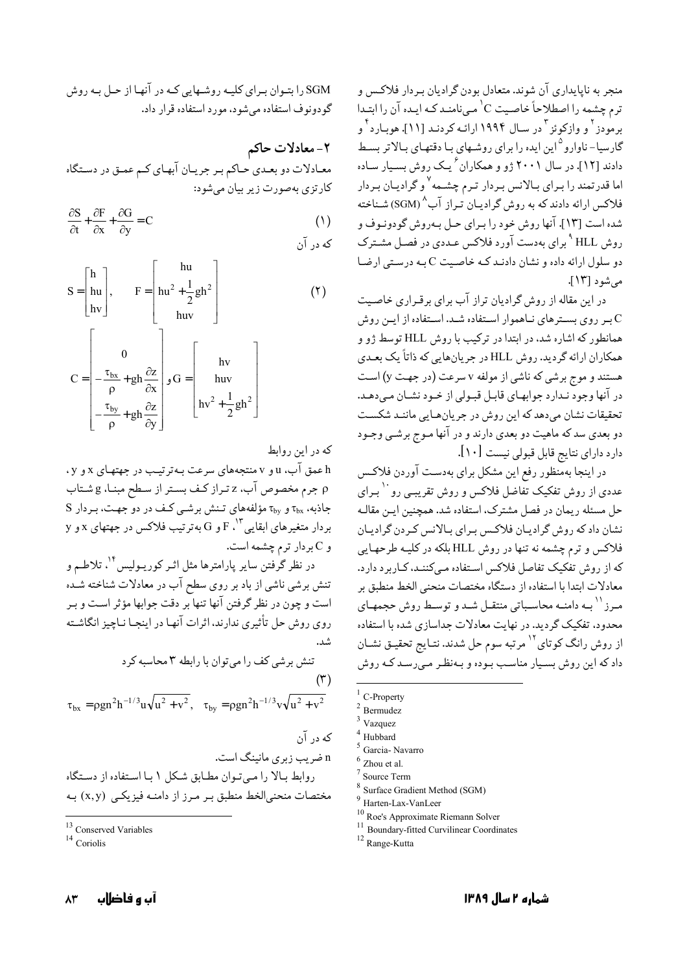منجر به ناپایداری آن شوند. متعادل بودن گرادیان بـردار فلاکـس و ترم چشمه را اصطلاحاً خاصیت C' مبی نامنـد کـه ایـده آن را ابتـدا برمودز <sup>۲</sup> و وازکوئز <sup>۳</sup> در سال ۱۹۹۴ ارائـه کردنـد [۱۱]. هوبـارد <sup>۴</sup> و گارسیا-ناوارو<sup>۱۵</sup>ین ایده را برای روشهای بـا دقتهـای بـالاتر بسـط دادند [۱۲]. در سال ۲۰۰۱ ژو و همکاران ٔ یـک روش بسـیار سـاده اما قدرتمند را بـراي بـالانس بـردار تـرم چشـمه<sup>٧</sup> و گراديـان بـردار فلاکس ارائه دادند که به روش گرادیان تیراز آب<sup>^</sup> (SGM) شیناخته شده است [۱۳]. آنها روش خود را بیرای حیل په دوش گودونیوف و روش HLL <sup>۹</sup> برای بهدست آورد فلاکس عـددی در فصـل مشـترک دو سلول ارائه داده و نشان دادنـد کـه خاصـيت C بـه درسـتي ارضـا می شو د [۱۳].

در این مقاله از روش گرادیان تراز آب برای برقـراری خاصـیت بر روی بسترهای نـاهموار اسـتفاده شـد. اسـتفاده از ايـن روش همانطور که اشاره شد، در ابتدا در ترکیب با روش HLL توسط ژو و همکاران ارائه گردید. روش HLL در جریانهایی که ذاتاً یک بعدی هستند و موج برشي كه ناشي از مولفه v سرعت (در جهت y) است در آنها وجود نـدارد جوابهـاي قابـل قبـولي از خـود نشـان مـي،هـد. تحقیقات نشان میدهد که این روش در جریانهایی مانند شکست دو بعدي سد كه ماهيت دو بعدي دارند و در آنها مـوج برشـي وجـود دارد دارای نتایج قابل قبولی نیست [۱۰].

در اینجا بهمنظور رفع این مشکل برای بهدست آوردن فلاکس عددی از روش تفکیک تفاضل فلاکس و روش تقریببی رو `` بـرای حل مسئله ريمان در فصل مشترک، استفاده شد. همچنين ايـن مقالـه نشان داد که روش گرادیـان فلاکـس بـرای بـالانس کـردن گرادیـان فلاکس و ترم چشمه نه تنها در روش HLL بلکه در کلیـه طرحهـایی که از روش تفکیک تفاصل فلاکس استفاده مـیکننـد، کـاربرد دارد. معادلات ابتدا با استفاده از دستگاه مختصات منحنى الخط منطبق بر مـرز `` بــه دامنــه محاسـباتي منتقــل شــد و توســط روش حجمهـاي محدود، تفکیک گردید. در نهایت معادلات جداسازی شده با استفاده از روش رانگ کوتای<sup>۱۲</sup> مرتبه سوم حل شدند. نتـايج تحقيـق نشـان داد که این روش بسیار مناسب بوده و بهنظر مے رسد کـه روش

- C-Property
- Bermudez
- Vazquez

 $9$  Harten-Lax-VanLeer

<sup>11</sup> Boundary-fitted Curvilinear Coordinates

SGM را بتبوان بیرای کلیپه روشیهایی کپه در آنها از حیل بپه روش گودونوف استفاده می شود، مورد استفاده قرار داد.

٢- معادلات حاكم معـادلات دو بعـدي حـاكم بـر جريـان آبهـاي كـم عمـق در دسـتگاه کارتزی بهصورت زیر بیان می شود:

$$
\frac{\partial S}{\partial t} + \frac{\partial F}{\partial x} + \frac{\partial G}{\partial y} = C \tag{1}
$$

$$
S = \begin{bmatrix} h \\ hu \\ hv \end{bmatrix}, \qquad F = \begin{bmatrix} hu \\ hu^2 + \frac{1}{2}gh^2 \\ huv \end{bmatrix}
$$
(1)  

$$
C = \begin{bmatrix} 0 \\ -\frac{\tau_{bx}}{\rho} + gh \frac{\partial z}{\partial x} \\ -\frac{\tau_{by}}{\rho} + gh \frac{\partial z}{\partial y} \end{bmatrix}, G = \begin{bmatrix} hv \\ hw \\ hw^2 + \frac{1}{2}gh^2 \end{bmatrix}
$$

كه در اين روابط

h عمق آب، u و v منتجههای سرعت به ترتیب در جهتهای x و y ، p جرم مخصوص آب، z تـراز كـف بسـتر از سـطح مبنـا، g شـتاب S جاذبه،  $\tau_{\rm{by}}$  و  $\tau_{\rm{by}}$  مؤلفههای تـنش برشـی کـف در دو جهـت، بردار  $\mathbf y$ بردار متغیرهای ابقایی $\mathbf F$ ۰<sup>۱۳</sup> و G بهترتیب فلاکس در جهتهای x و y و C بردار ترم چشمه است.

در نظر گرفتن سایر پارامترها مثل اثـر کورپـولیس ۱<sup>۴</sup>، تلاطـم و تنش برشي ناشي از باد بر روي سطح آب در معادلات شناخته شـده است و چون در نظر گرفتن آنها تنها بر دقت جوابها مؤثر است و ب روی روش حل تأثیری ندارند، اثرات آنها در اینجـا نـاچیز انگاشـته .<br>شد.

تنش برشی کف را میتوان با رابطه ۲ معاسبه کرد  
\n(۳)  
\n
$$
\tau_{bx} = \rho g n^2 h^{-1/3} u \sqrt{u^2 + v^2}, \quad \tau_{by} = \rho g n^2 h^{-1/3} v \sqrt{u^2 + v^2}
$$

n ضرب زبری مانینگ است. روابط بالا را مبي توان مطابق شكل ١ با استفاده از دستگاه مختصات منحنی|لخط منطبق بـر مـرز از دامنـه فيزيكـي (x,y) بـه

Hubbard

Garcia-Navarro Zhou et al.

Source Term

Surface Gradient Method (SGM)

 $^{10}$  Roe's Approximate Riemann Solver

<sup>&</sup>lt;sup>12</sup> Range-Kutta

<sup>&</sup>lt;sup>13</sup> Conserved Variables

<sup>&</sup>lt;sup>14</sup> Coriolis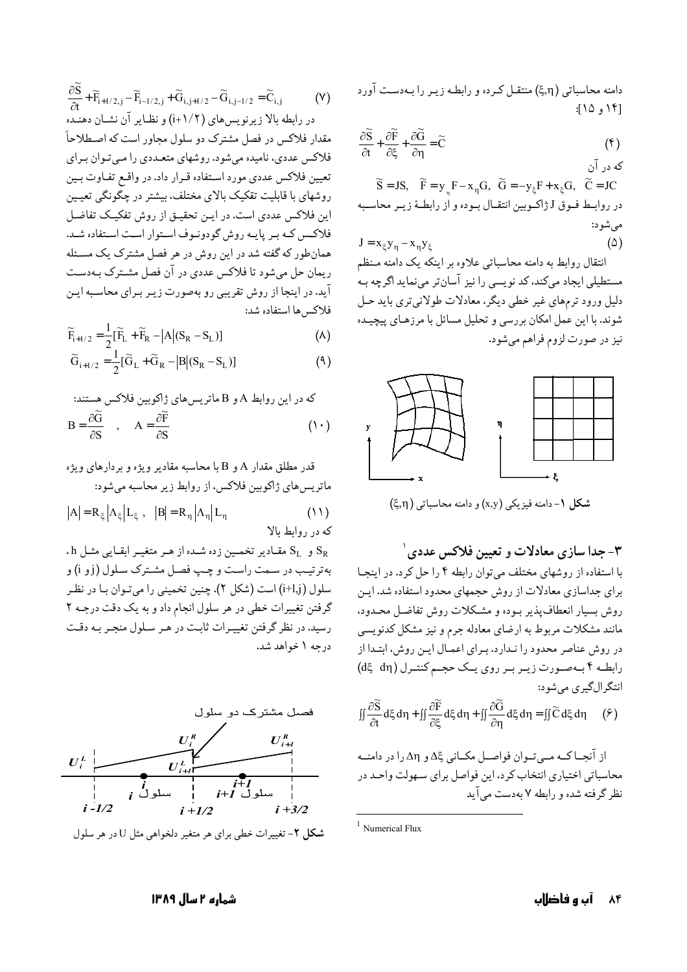دامنه محاسباتی (٤٫٦) منتقـل کـرده و رابطـه زيـر را بـهدسـت آورد [۱۴ و ۱۱۵:

$$
\frac{\partial \widetilde{S}}{\partial t} + \frac{\partial \widetilde{F}}{\partial \xi} + \frac{\partial \widetilde{G}}{\partial \eta} = \widetilde{C}
$$
 (f)

که در آن  $\widetilde{S} = JS, \widetilde{F} = y F - x_n G, \widetilde{G} = -y_F F + x_F G, \widetilde{C} = JC$ در روابـط فـوق J ژاكـوبين انتقـال بـوده و از رابطـهٔ زيـر محاسـبه مي شود:  $(\triangle)$  $J = x_{\xi}y_n - x_ny_{\xi}$ 

انتقال روابط به دامنه محاسباتی علاوه بر اینکه یک دامنه مـنظم مستطیلی ایجاد میکند، کد نویسی را نیز آسانتر مینماید اگرچه بـه دلیل ورود ترمهای غیر خطی دیگر، معادلات طولانی تری باید حـل شوند. با این عمل امکان بررسی و تحلیل مسائل با مرزهـای پیچیـده نيز در صورت لزوم فراهم مي شود.



شکل ۱- دامنه فیزیکی (x,y) و دامنه محاسباتی (ξ,η)

۳- جدا سازی معادلات و تعیین فلاکس عددی ۱

با استفاده از روشهای مختلف می توان رابطه ۴ را حل کرد. در اینجا برای جداسازی معادلات از روش حجمهای محدود استفاده شد. ایـن روش بسیار انعطاف پذیر بوده و مشکلات روش تفاضل محدود. مانند مشکلات مربوط به ارضای معادله جرم و نیز مشکل کدنویسی در روش عناصر محدود را نـدارد. بـراي اعمـال ايـن روش، ابتـدا از رابطـه ۴ بـهصـورت زيـر بـر روى يـك حجـم كنتـرل (dξ dη) انتگر الگيري مي شو د:

$$
\iint \frac{\partial \widetilde{S}}{\partial t} d\xi d\eta + \iint \frac{\partial \widetilde{F}}{\partial \xi} d\xi d\eta + \iint \frac{\partial \widetilde{G}}{\partial \eta} d\xi d\eta = \iint \widetilde{C} d\xi d\eta \qquad (2)
$$

از آنجـاکـه مــيتـوان فواصــل مکــاني کِّــدو An را در دامنــه محاسباتي اختياري انتخاب كرد، اين فواصل براي سـهولت واحـد در نظر گرفته شده و رابطه ۷ بهدست می آید

$$
\frac{\partial \widetilde{S}}{\partial t} + \widetilde{F}_{i+1/2,j} - \widetilde{F}_{i-1/2,j} + \widetilde{G}_{i,j+1/2} - \widetilde{G}_{i,j-1/2} = \widetilde{C}_{i,j}
$$
 (Y)  
در رابطه بالز زیرنویسهای (1+1/7) و نظایر آن نشان دهنده.  
مقدار فلاکس در فصل مشترک دو سلول مجاور است که اصطلاحاً  
فلاکس عددی، نامیده میشود. روشهای متحلادی در واقع تفاوت بین  
تعیین فلاکس عددی مورد استفاده قرار داد. در واقع تفاوت بین  
ارین فلاکس عددی است. در این تحقیق از روش تفکیک تفافسل  
فلاکس که بر پایه روش گودونونی استوار است استفاده شد.  
فلاکس که بر پایه روش گودونونی استوار است استفاده شد.  
آید. در اینجا از روش تقریبی رو بهصورت زیر برای معاسبه این  
آید. در اینجا از روش تقریبی رو بهصورت زیر برای معاسبه این

$$
\widetilde{F}_{i+1/2} = \frac{1}{2} [\widetilde{F}_{L} + \widetilde{F}_{R} - |A| (S_{R} - S_{L})]
$$
\n(A)

$$
\widetilde{G}_{i+1/2} = \frac{1}{2} [\widetilde{G}_L + \widetilde{G}_R - |B| (S_R - S_L)]
$$
\n(4)

که در این روابط A و B ماتریس های ژاکوبین فلاکس هستند:  
\n
$$
B = \frac{\partial \widetilde{G}}{\partial S} \quad , \quad A = \frac{\partial \widetilde{F}}{\partial S}
$$
 (1)

$$
|A| = R_{\xi} \left| \Lambda_{\xi} \right| L_{\xi} , \quad |B| = R_{\eta} \left| \Lambda_{\eta} \right| L_{\eta} \tag{11}
$$

. A و S<sub>L</sub> مقـادير تخمـين زده شـده از هـر متغيـر ابقـايي مثـل b. بهترتيب در سمت راست و چپ فصل مشترک سلول (j و j) و سلول (j+l,j) است (شکل ۲). چنین تخمینی را میتوان با در نظر گرفتن تغییرات خطی در هر سلول انجام داد و به یک دقت درجـه ۲ رسید. در نظر گرفتن تغییرات ثابت در هر سلول منجر به دقت درجه ۱ خواهد شد.



 $1$  Numerical Flux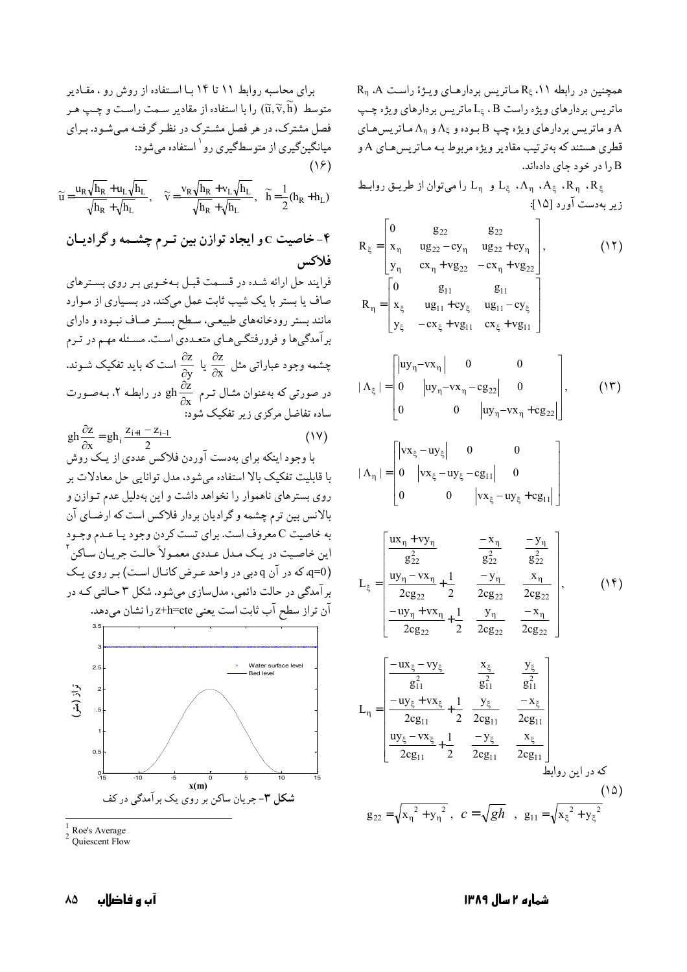$R_n$  .A همچنین در رابطه  $R_{\xi}$  ، ۱۱ هماتریس بردارهای ویـژهٔ راست ماتریس بردارهای ویژه راست L<sub>٤</sub> ، B ماتریس بردارهای ویژه چپ و ماتریس بردارهای ویژه چپ $\mathrm{B}$  بوده و  $\Lambda_\natural$  و  $\Lambda_\eta$  مـاتریسهـای  $\mathrm{A}$ قطري هستند که به ترتيب مقادير ويژه مربوط بـه مـاتريس هـاي A و را در خود جای دادهاند.

 $L_n$  ،  $\Lambda_n$ ،  $A_{\xi}$ ، ،  $\Lambda_n$ ، ،  $\Lambda_{\xi}$  ،  $\Lambda_n$  ،  $\Lambda_{\xi}$  ،  $R_n$  ،  $R_{\xi}$ زير بهدست آورد [۱۵]:

$$
R_{\xi} = \begin{bmatrix} 0 & g_{22} & g_{22} \\ x_{\eta} & ug_{22} - cy_{\eta} & ug_{22} + cy_{\eta} \\ y_{\eta} & cx_{\eta} + vg_{22} & -cx_{\eta} + vg_{22} \end{bmatrix}, \qquad (17)
$$
  
\n
$$
R_{\eta} = \begin{bmatrix} 0 & g_{11} & g_{11} \\ x_{\xi} & ug_{11} + cy_{\xi} & ug_{11} - cy_{\xi} \\ y_{\xi} & -cx_{\xi} + vg_{11} & cx_{\xi} + vg_{11} \end{bmatrix}
$$

$$
|\Lambda_{\xi}| = \begin{bmatrix} |uy_{\eta} - vx_{\eta}| & 0 & 0 \\ 0 & |uy_{\eta} - vx_{\eta} - cg_{22}| & 0 \\ 0 & 0 & |uy_{\eta} - vx_{\eta} + cg_{22}| \end{bmatrix}, \qquad (\mathcal{W})
$$

$$
|\Lambda_{\eta}| = \begin{bmatrix} |\mathbf{v}\mathbf{x}_{\xi} - \mathbf{u}\mathbf{y}_{\xi}| & 0 & 0 \\ 0 & |\mathbf{v}\mathbf{x}_{\xi} - \mathbf{u}\mathbf{y}_{\xi} - \mathbf{c}\mathbf{g}_{11}| & 0 \\ 0 & 0 & |\mathbf{v}\mathbf{x}_{\xi} - \mathbf{u}\mathbf{y}_{\xi} + \mathbf{c}\mathbf{g}_{11}| \end{bmatrix}
$$

$$
L_{\xi} = \begin{bmatrix} \frac{ux_{\eta} + vy_{\eta}}{g_{22}^2} & -\frac{x_{\eta}}{g_{22}^2} & -\frac{y_{\eta}}{g_{22}^2} \\ \frac{uy_{\eta} - vx_{\eta}}{2cg_{22}} + \frac{1}{2} & -y_{\eta} & x_{\eta} \\ \frac{-uy_{\eta} + vx_{\eta}}{2cg_{22}} + \frac{1}{2} & \frac{y_{\eta}}{2cg_{22}} & \frac{-x_{\eta}}{2cg_{22}} \\ \frac{-uy_{\eta} + vx_{\eta}}{2cg_{22}} + \frac{1}{2} & \frac{y_{\eta}}{2cg_{22}} & \frac{-x_{\eta}}{2cg_{22}} \end{bmatrix}, \qquad (15)
$$

$$
L_{\eta} = \begin{bmatrix} \frac{-ux_{\xi} - vy_{\xi}}{g_{11}^2} & \frac{x_{\xi}}{g_{11}^2} & \frac{y_{\xi}}{g_{11}^2} \\ \frac{-uy_{\xi} + vx_{\xi}}{2cg_{11}} + \frac{1}{2} & \frac{y_{\xi}}{2cg_{11}} & \frac{-x_{\xi}}{2cg_{11}} \\ \frac{uv_{\xi} - vx_{\xi}}{2cg_{11}} & -y_{\xi} & x_{\xi} \end{bmatrix}.
$$

So

\n
$$
g_{22} = \sqrt{x_{\eta}^{2} + y_{\eta}^{2}}, \quad c = \sqrt{gh}, \quad g_{11} = \sqrt{x_{\xi}^{2} + y_{\xi}^{2}}
$$
\n(10)

 $\overline{2c}g_{11}$ 

 $2c_{\mathfrak{L}_{11}}$ 

 $\overline{2}$ 

 $2cg_{11}$ 

برای محاسبه روابط ۱۱ تا ۱۲ تا ۱۲ تا ستفاده از روش رو ، مقادیر  
متوسط (ū, ř, ři) را با استفاده از مقادیر سمت راست و چپ هر  
فصل مشترک، در هر فصل مشترک در نظر گرفته میشود. برای  
میانگینگیری از متوسطگیری رو' استفاده میشود:  
۱۶)  
۵ = 
$$
\frac{u_R \sqrt{h_R} + u_L \sqrt{h_L}}{\sqrt{h_R} + \sqrt{h_L}}, \quad \widetilde{v} = \frac{v_R \sqrt{h_R} + v_L \sqrt{h_L}}{\sqrt{h_R} + \sqrt{h_L}}, \quad \widetilde{h} = \frac{1}{2}(h_R + h_L)
$$
  
۴  $\widetilde{v} = \frac{v_R \sqrt{h_R} + v_L \sqrt{h_L}}{\sqrt{h_R} + \sqrt{h_L}}, \quad \widetilde{h} = \frac{1}{2}(h_R + h_L)$ کا  
فلاکس

فرایند حل ارائه شـده در قسـمت قبـل بـهخـوبی بـر روی بسـترهای صاف یا بستر با یک شیب ثابت عمل میکند. در بسیاری از مـوارد مانند بستر رودخانههای طبیعـی، سـطح بسـتر صـاف نبـوده و دارای برآمدگیها و فرورفتگـیهـای متعـددی اسـت. مسـئله مهـم در تـرم چشمه وجود عباراتی مثل  $\frac{\partial z}{\partial x}$  یا  $\frac{\partial z}{\partial y}$  است که باید تفکیک شـوند. در صورتی که بهعنوان مثـال تـرم  $\frac{\partial z}{\partial x}$  در رابطـه ۲، بـهصـورت ساده تفاضل مرکزی زیر تفکیک شود:

$$
gh\frac{\partial z}{\partial x} = gh_i \frac{z_{i+1} - z_{i-1}}{2}
$$
 (1V)

با وجود اینکه برای بهدست آوردن فلاکس عددی از یـک روش با قابلیت تفکیک بالا استفاده می شود، مدل توانایی حل معادلات بر روی بسترهای ناهموار را نخواهد داشت و این بهدلیل عدم تـوازن و بالانس بین ترم چشمه و گرادیان بردار فلاکس است که ارضـای آن به خاصیت C معروف است. برای تست کردن وجود یـا عـدم وجـود اين خاصيت در يـک مـدل عـددي معمـولاً حالـت جريـان سـاکن ّ q=0) که در آن q دبی در واحد عرض کانال است) بر روی یک بر آمدگی در حالت دائمی، مدلسازی می شود. شکل ۳ حـالتی کـه در آن تراز سطح آب ثابت است يعني z+h=cte را نشان ميدهد.



Roe's Average

85 آب و فاضلاب شماره ۲ سال ۱۳۸۹

 $2 \text{ Ouiescent Flow}$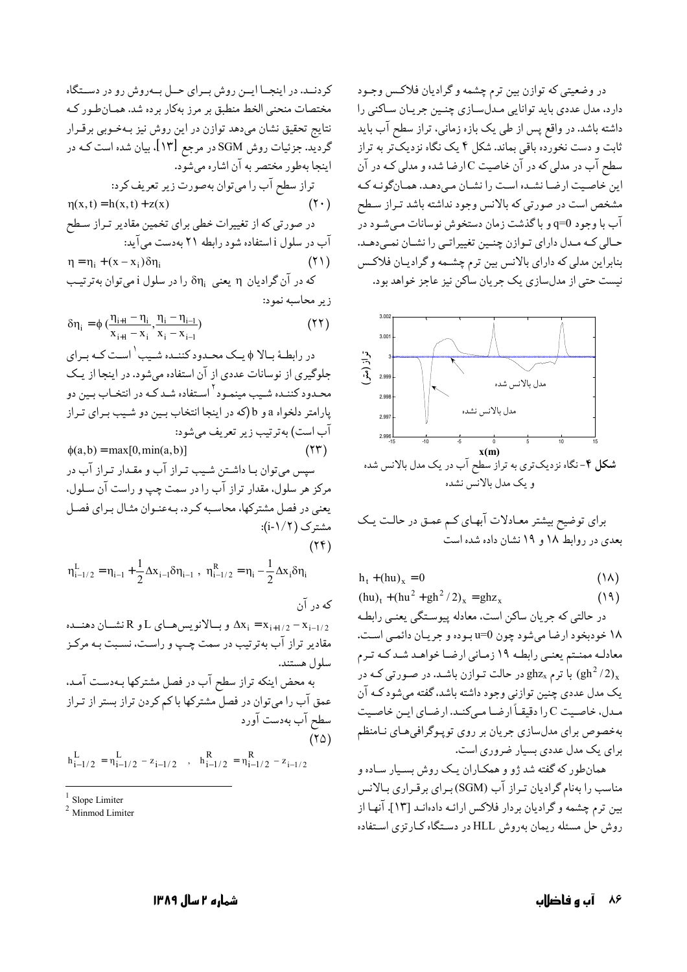در وضعیتی که توازن بین ترم چشمه و گرادیان فلاکس وجـود دارد، مدل عددی باید توانایی مدلسازی چنین جریان ساکنی را داشته باشد. در واقع پس از طی یک بازه زمانی، تراز سطح آب باید ثابت و دست نخورده باقی بماند. شکل ۴ یک نگاه نزدیکتر به تراز سطح آب در مدلی که در آن خاصیت C ارضا شده و مدلی کـه در آن این خاصیت ارضا نشده است را نشان میدهد. همانگونـه کـه مشخص است در صورتي كه بالانس وجود نداشته باشد تـراز سـطح آب با وجود q=0 و باگذشت زمان دستخوش نوسانات میشـود در حـالي كـه مـدل داراي تـوازن چنـين تغييراتـي را نشـان نمـيدهـد. بنابراین مدلی که دارای بالانس بین ترم چشمه و گرادیان فلاکس نیست حتی از مدلسازی یک جریان ساکن نیز عاجز خواهد بود.



برای توضیح بیشتر معـادلات آبهـای کـم عمـق در حالـت یـک بعدی در روابط ۱۸ و ۱۹ نشان داده شده است

$$
h_t + (hu)_x = 0 \tag{1A}
$$

$$
(hu)_t + (hu^2 + gh^2 / 2)_x = ghz_x \tag{14}
$$

در حالتی که جریان ساکن است، معادله پیوستگی یعنبی رابطه ۱۸ خودبخود ارضا میشود چون <sub>U</sub>=0 بوده و جريـان دائمـي اسـت. معادلـه ممنـتم يعنـي رابطـه ١٩ زمـاني ارضـا خواهـد شـد كـه تـرم با ترم  $\mathrm{ghz}_{\mathrm{x}}$  در حالت تـوازن باشـد. در صـورتی کـه در ( $\mathrm{gh^2}/2)_\mathrm{x}$ یک مدل عددی چنین توازنی وجود داشته باشد، گفته میشود کـه آن مدل، خاصیت C را دقیقـاً ارضـا مـىكنـد. ارضـاى ايـن خاصـيت بهخصوص براي مدلسازي جريان بر روى توپوگرافى هاى نـامنظم برای یک مدل عددی بسیار ضروری است.

همانطور که گفته شد ژو و همکـاران یـک روش بسـیار سـاده و مناسب را بهنام گرادیان تـراز آب (SGM) بـراي برقـراري بـالانس بین ترم چشمه و گرادیان بردار فلاکس ارائـه دادهانـد [۱۳]. آنهـا از روش حل مسئله ريمان بهروش HLL در دستگاه كـارتزى استفاده

کردنــد. در اینجــا ایــن روش بــرای حــل بــهروش رو در دســتگاه مختصات منحنی الخط منطبق بر مرز بهکار برده شد. همـانطور کـه نتايج تحقيق نشان مىدهد توازن در اين روش نيز بـهخـوبى برقـرار گردید. جزئیات روش SGM در مرجع [۱۳]. بیان شده است کـه در اینجا بهطور مختصر به آن اشاره میشود.

تراز سطح آب را ميتوان بهصورت زير تعريف كرد:  $\eta(x, t) = h(x, t) + z(x)$  $(1 \cdot)$ در صورتی که از تغییرات خطی برای تخمین مقادیر تـراز سـطح آب در سلول i استفاده شود رابطه ۲۱ بهدست میآید:  $\eta = \eta_i + (x - x_i) \delta \eta_i$  $(51)$ که در آن گرادیان  $\eta_1$  یعنی  $\delta\eta_i$  را در سلول i میتوان بهترتیب

زیر محاسبه نمود:

$$
\delta \eta_i = \phi \left( \frac{\eta_{i+1} - \eta_i}{x_{i+1} - x_i}, \frac{\eta_i - \eta_{i-1}}{x_i - x_{i-1}} \right) \tag{57}
$$

در رابطـهٔ بـالا ¢ یـک محـدود کننـده شـیب ٰ اسـت کـه بـراي جلوگیری از نوسانات عددی از آن استفاده میشود. در اینجا از یک محـدود کننـده شـيب مينمـود<sup>۲</sup> اسـتفاده شـد کـه در انتخـاب بـين دو يارامتر دلخواه a و b (كه در اينجا انتخاب بـين دو شـيب بـراي تـراز آب است) به ترتیب زیر تعریف میشود:  $\phi(a,b) = \max[0,\min(a,b)]$  $(55)$ سپس میتوان بـا داشـتن شـیب تـراز آب و مقـدار تـراز آب در مرکز هر سلول، مقدار تراز آب را در سمت چپ و راست آن سـلول، يعني در فصل مشتركها، محاسبه كرد. بـهعنـوان مثـال بـراي فصـل مشترک (۱/۲-i):  $(Yf)$ 

$$
\eta^L_{i-1/2} = \eta_{i-1} + \frac{1}{2} \Delta x_{i-1} \delta \eta_{i-1} \ , \ \eta^R_{i-1/2} = \eta_i - \frac{1}{2} \Delta x_i \delta \eta_i
$$

که در آن و بالانویس هـای L و L از  $\Delta x_i = x_{i+1/2} - x_{i-1/2}$ مقادیر تراز آب بهترتیب در سمت چـپ و راسـت، نسـبت بـه مرکـز سلول هستند.

به محض اینکه تراز سطح آب در فصل مشترکها بـهدسـت آمـد. عمق آب را میتوان در فصل مشترکها با کم کردن تراز بستر از تـراز سطح آب بەدست آورد  $(50)$  $h_{i-1/2}^L = n_{i-1/2}^L - z_{i-1/2}^L$ ,  $h_{i-1/2}^R = n_{i-1/2}^R - z_{i-1/2}^L$ 

Slope Limiter

 $2$  Minmod Limiter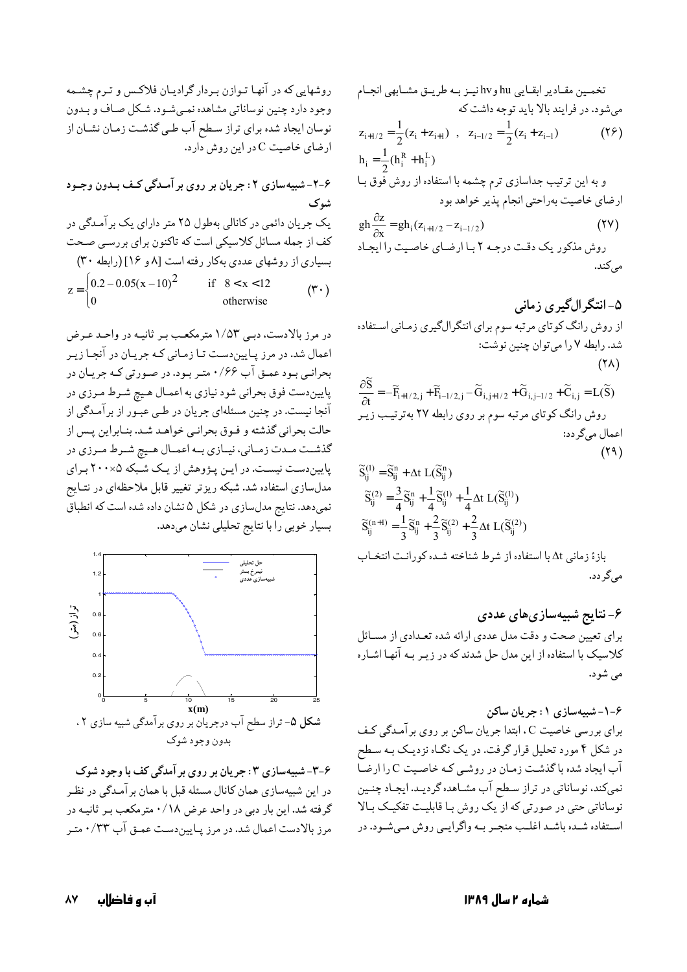تخمـين مقـادير ابقـايي hu وhv نيـز بـه طريـق مشـابهي انجـام می شود. در فرایند بالا باید توجه داشت که

$$
z_{i+1/2} = \frac{1}{2} (z_i + z_{i+1}) , \quad z_{i-1/2} = \frac{1}{2} (z_i + z_{i-1})
$$
 (19)  

$$
h_i = \frac{1}{2} (h_i^R + h_i^L)
$$

و به این ترتیب جداسازی ترم چشمه با استفاده از روش فُوق بـا ارضاي خاصيت بهراحتى انجام پذير خواهد بود

$$
gh\frac{\partial z}{\partial x} = gh_i(z_{i+1/2} - z_{i-1/2})
$$
\n
$$
\text{(YV)}
$$
\n
$$
\text{(Vt)}
$$
\n
$$
\text{(Vt)}
$$

$$
\widetilde{S}_{ij}^{(1)} = \widetilde{S}_{ij}^n + \Delta t \ L(\widetilde{S}_{ij}^n)
$$
\n
$$
\widetilde{S}_{ij}^{(2)} = \frac{3}{4} \widetilde{S}_{ij}^n + \frac{1}{4} \widetilde{S}_{ij}^{(1)} + \frac{1}{4} \Delta t \ L(\widetilde{S}_{ij}^{(1)})
$$
\n(11)

$$
\widetilde{S}_{ij}^{(n+1)} = \frac{1}{3} \widetilde{S}_{ij}^{n} + \frac{2}{3} \widetilde{S}_{ij}^{(2)} + \frac{2}{3} \Delta t \ L(\widetilde{S}_{ij}^{(2)})
$$
\n
$$
\vdots
$$
\n
$$
\Delta t \Delta t \Delta t = \Delta t \Delta t \Delta t
$$
\n
$$
\Delta t \Delta t = \Delta t \Delta t \Delta t
$$

## ۶- نتایج شبیهسازیهای عددی

برای تعیین صحت و دقت مدل عددی ارائه شده تعـدادی از مسـائل کلاسیک با استفاده از این مدل حل شدند که در زیـر بـه آنهـا اشـاره مے شود.

۰-۶-شبیهسازی ۱: جریان ساکن

برای بررسی خاصیت C ، ابتدا جریان ساکن بر روی برآمـدگی کـف در شکل ۴ مورد تحلیل قرار گرفت. در یک نگـاه نزدیـک بـه سـطح آب ایجاد شده با گذشت زمان در روشبی که خاصیت C را ارضا نمی کند، نوساناتی در تراز سطح آب مشـاهده گردیـد. ایجـاد چنـین نوساناتی حتی در صورتی که از یک روش با قابلیت تفکیک بالا استفاده شـده باشـد اغلـب منجـر بـه واگرايـي روش مـي شـود. در

7-4-شبیهسازی ۲: جریان بر روی برآمىدگی کف بدهون وجود شوک  
شوک  
یک جریان دائمی در کانالی بهطورل ۲۵ متر دارای یک برآمىدگی در  
کف از جمله مسائل کلاسیکی است که تاکنون برای بررسی صعت  
بسیاری از روشهای عددی بهکار رفته است [۸ و ۱] (رابطه ۳۰)  

$$
z = \begin{cases} 0.2 - 0.05(x - 10)^2 & \text{if } 8 < x < 12 \\ 0 & \text{otherwise} \end{cases}
$$

در مرز بالادست، دببی ۱/۵۳ مترمکعب بر ثانیـه در واحـد عـرض اعمال شد. در مرز پـاییندسـت تـا زمـانی کـه جریـان در آنجـا زیـر بحرانبي بـود عمـق آب ۱/۶۶ متـر بـود. در صـورتي كـه جريـان در پاییندست فوق بحرانی شود نیازی به اعمـال هـیچ شـرط مـرزی در آنجا نیست. در چنین مسئلهای جریان در طـی عبـور از برآمـدگی از حالت بحراني گذشته و فـوق بحرانـي خواهـد شـد. بنـابراين پـس از گذشــت مـدت زمـاني، نيــازي بــه اعمــال هــيچ شــرط مــرزي در پایین دست نیست. در این پژوهش از یک شبکه ۲۰۰× برای مدلسازی استفاده شد. شبکه ریزتر تغییر قابل ملاحظهای در نتـایج نمیدهد. نتایج مدلسازی در شکل ۵ نشان داده شده است که انطباق بسیار خوبی را با نتایج تحلیلی نشان میدهد.



۶-۳- شبیهسازی ۳ : جریان بر روی بر آمدگی کف با وجود شوک در این شبیهسازی همان کانال مسئله قبل با همان برآمـدگی در نظـر گرفته شد. این بار دبی در واحد عرض ۰/۱۸ مترمکعب بـر ثانیـه در مرز بالادست اعمال شد. در مرز پـایین،دسـت عمـق آب ۰/۳۳ متـر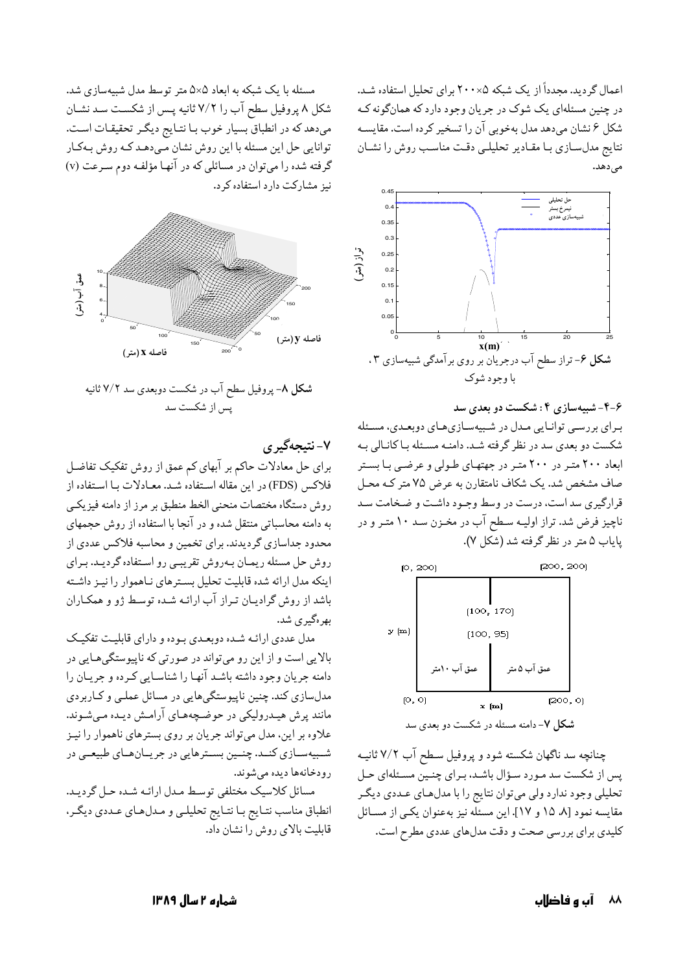اعمال گردید. مجدداً از یک شبکه ۲۰۰۵ برای تحلیل استفاده شـد. در چنین مسئلهای یک شوک در جریان وجود دارد که همانگونه ک شکل ۶ نشان میدهد مدل بهخوبی آن را تسخیر کرده است. مقایسـه نتايج مدلسازي بـا مقـادير تحليلـي دقـت مناسـب روش را نشـان



۶-۴-شبیهسازی ۴: شکست دو بعدی سد برای بررسی توانایی مدل در شبیهسازیهای دوبعدی، مسئله شکست دو بعدی سد در نظر گرفته شـد. دامنـه مسـئله بـاکانـالي بـه ابعاد ۲۰۰ متـر در ۲۰۰ متـر در جهتهـای طـولی و عرضـی بـا بسـتر صاف مشخص شد. یک شکاف نامتقارن به عرض ۷۵ متر کـه محـل قرارگیری سد است، درست در وسط وجـود داشـت و ضـخامت سـد ناچیز فرض شد. تراز اولیـه سـطح آب در مخـزن سـد ۱۰ متـر و در پایاب ۵ متر در نظر گرفته شد (شکل ۷).



چنانچه سد ناگهان شکسته شود و پروفیل سطح آب ۷/۲ ثانیـه یس از شکست سد مـورد سـؤال باشـد، بـرای چنـین مسـئلهای حـل تحلیلی وجود ندارد ولی میتوان نتایج را با مدل هـای عـددی دیگـر مقایسه نمود [۸، ۱۵ و ۱۷]. این مسئله نیز به عنوان یکی از مسائل کلیدی برای بررسی صحت و دقت مدلهای عددی مطرح است.

مسئله با یک شبکه به ابعاد ۵×۵ متر توسط مدل شبیهسازی شد. شکل ۸ پروفیل سطح آب را ۷/۲ ثانیه پس از شکست سد نشـان میدهد که در انطباق بسیار خوب بـا نتـایج دیگـر تحقیقـات اسـت. توانایی حل این مسئله با این روش نشان مـیدهـد کـه روش بـهکـار گرفته شده را میتوان در مسائلی که در آنها مؤلفه دوم سـرعت (v) نیز مشارکت دارد استفاده کرد.



۷- نتيجهگير ي

برای حل معادلات حاکم بر آبهای کم عمق از روش تفکیک تفاضل فلاكس (FDS) در اين مقاله استفاده شد. معـادلات بـا استفاده از روش دستگاه مختصات منحنى الخط منطبق بر مرز از دامنه فيزيكي به دامنه محاسباتی منتقل شده و در آنجا با استفاده از روش حجمهای محدود جداسازی گردیدند. برای تخمین و محاسبه فلاکس عددی از روش حل مسئله ریمـان بـهروش تقریبـی رو اسـتفاده گردیـد. بـرای اینکه مدل ارائه شده قابلیت تحلیل بسترهای نـاهموار را نیـز داشـته باشد از روش گرادیان تراز آب ارائـه شـده توسـط ژو و همكـاران بهرهگیری شد.

مدل عددی ارائـه شـده دوبعـدی بـوده و دارای قابلیـت تفکیـک بالایی است و از این رو میتواند در صورتی که ناپیوستگیهایی در دامنه جریان وجود داشته باشـد آنهـا را شناسـایی کـرده و جریـان را مدلسازي کند. چنين ناپيوستگيهايي در مسائل عملـي و کـاربردي مانند پرش هیـدرولیکی در حوضـچههـای آرامـش دیـده مـیشـوند. علاوه بر این، مدل میتواند جریان بر روی بسترهای ناهموار را نیـز شمبیهسـازي کنـد. چنـین بسـترهايي در جريـانهـاي طبيعـي در رودخانهها ديده مي شوند.

مسائل كلاسيك مختلفي توسط مدل ارائـه شـده حـل گرديـد. انطباق مناسب نتـايج بـا نتـايج تحليلـي و مـدلهـاي عـددي ديگـر، قابلت بالای دوش را نشان داد.